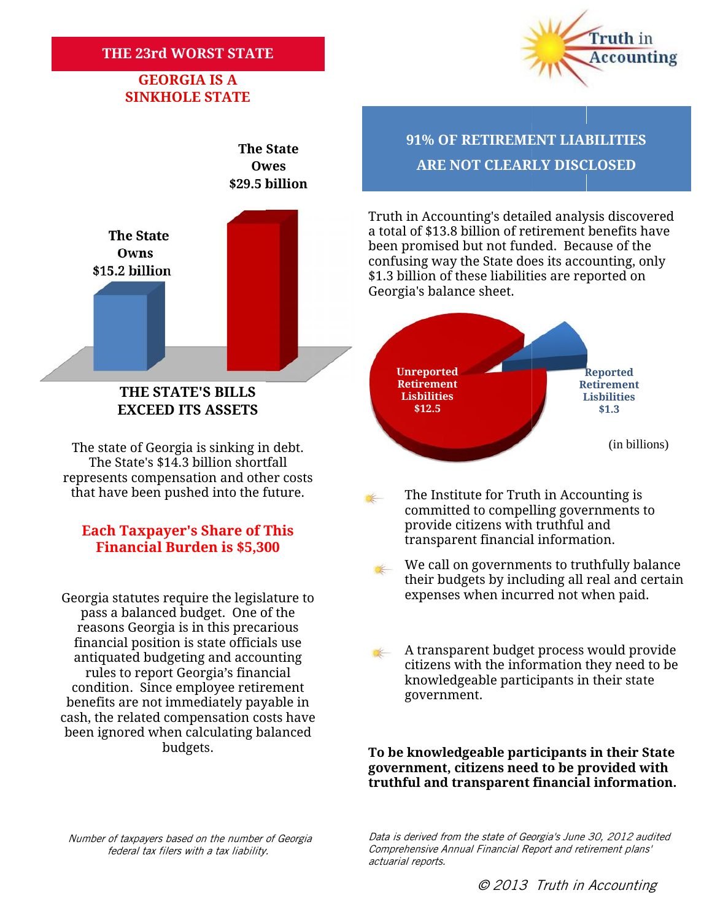### **THE 23rd WORST STATE**

## **GEORGIA IS A SINKHOLE STATE**





## **Financial Burden is \$5,300 Each Taxpayer's Share of This**

pass a balanced budget. One of the reasons Georgia is in this precarious financial position is state officials use antiquated budgeting and accounting rules to report Georgia's financial condition. Since employee retirement benefits are not immediately payable in cash, the related compensation costs have been ignored when calculating balanced budgets. pass a balanced budget. One of the<br>reasons Georgia is in this precarious<br>financial position is state officials use<br>antiquated budgeting and accounting<br>rules to report Georgia's financial<br>condition. Since employee retiremen

**The State 91% OF RETIREMENT LIABILITIES Owes ARE NOT CLEARLY DISCLOSED** 

Truth in Accounting's detailed analysis discovered a total of \$13.8 billion of retirement benefits have been promised but not funded. Because of the confusing way the State does its accounting, only \$1.3 billion of these liabilities are reported on Georgia's balance sheet. total of \$13.8 billion of retirement benefits heater a total of \$13.8 billion of retirement benefits heater whi<br>which was the confusing way the State does its accounting, of the selection of these liabilities are reported



- The Institute for Truth in Accounting is committed to compelling governments to provide citizens with truthful and transparent financial information.
- We call on governments to truthfully balance their budgets by including all real and certain Georgia statutes require the legislature to expenses when incurred not when paid.
	- A transparent budget process would provide citizens with the information they need to be<br>knowledgeable participants in their state knowledgeable participants in their state government.

**To be knowledgeable participants in their State government, citizens need to be provided with** government, citizens need to be provided with<br>truthful and transparent financial information.

*Number of taxpayers based on the number of Georgia Number of filers federal tax filers with a tax liability.*

*Data is derived from the state of Georgia's June 30, 2012 audited Comprehensive Annual Financial Report and retirement plans' Data 2012 plans' actuarial reports.*